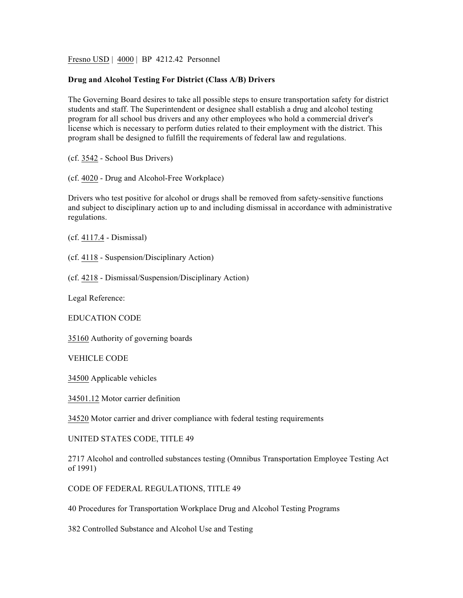Fresno USD | 4000 | BP 4212.42 Personnel

## **Drug and Alcohol Testing For District (Class A/B) Drivers**

The Governing Board desires to take all possible steps to ensure transportation safety for district students and staff. The Superintendent or designee shall establish a drug and alcohol testing program for all school bus drivers and any other employees who hold a commercial driver's license which is necessary to perform duties related to their employment with the district. This program shall be designed to fulfill the requirements of federal law and regulations.

(cf. 3542 - School Bus Drivers)

(cf. 4020 - Drug and Alcohol-Free Workplace)

Drivers who test positive for alcohol or drugs shall be removed from safety-sensitive functions and subject to disciplinary action up to and including dismissal in accordance with administrative regulations.

(cf. 4117.4 - Dismissal)

(cf. 4118 - Suspension/Disciplinary Action)

(cf. 4218 - Dismissal/Suspension/Disciplinary Action)

Legal Reference:

EDUCATION CODE

35160 Authority of governing boards

VEHICLE CODE

34500 Applicable vehicles

34501.12 Motor carrier definition

34520 Motor carrier and driver compliance with federal testing requirements

UNITED STATES CODE, TITLE 49

2717 Alcohol and controlled substances testing (Omnibus Transportation Employee Testing Act of 1991)

CODE OF FEDERAL REGULATIONS, TITLE 49

40 Procedures for Transportation Workplace Drug and Alcohol Testing Programs

382 Controlled Substance and Alcohol Use and Testing